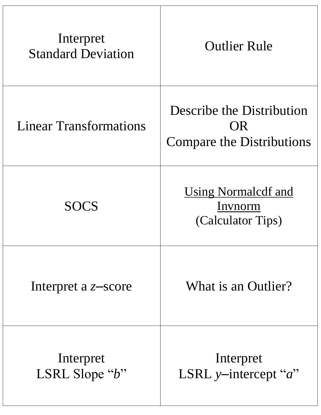| Interpret<br><b>Standard Deviation</b> | <b>Outlier Rule</b>                                                  |
|----------------------------------------|----------------------------------------------------------------------|
| <b>Linear Transformations</b>          | Describe the Distribution<br>OR.<br><b>Compare the Distributions</b> |
| <b>SOCS</b>                            | <u>Using Normalcdf and</u><br>Invnorm<br>(Calculator Tips)           |
| Interpret a $z$ -score                 | What is an Outlier?                                                  |
| Interpret<br>LSRL Slope " $b$ "        | Interpret<br>LSRL y-intercept " $a$ "                                |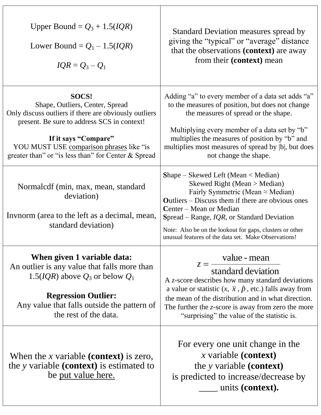| Upper Bound = $Q_3$ + 1.5( <i>IQR</i> )<br>Lower Bound = $Q_1$ – 1.5( <i>IQR</i> )<br>$IQR = Q_3 - Q_1$                                                                                                                                                                     | Standard Deviation measures spread by<br>giving the "typical" or "average" distance<br>that the observations (context) are away<br>from their (context) mean                                                                                                                                                                                                                  |
|-----------------------------------------------------------------------------------------------------------------------------------------------------------------------------------------------------------------------------------------------------------------------------|-------------------------------------------------------------------------------------------------------------------------------------------------------------------------------------------------------------------------------------------------------------------------------------------------------------------------------------------------------------------------------|
| SOCS!<br>Shape, Outliers, Center, Spread<br>Only discuss outliers if there are obviously outliers<br>present. Be sure to address SCS in context!<br>If it says "Compare"<br>YOU MUST USE comparison phrases like "is<br>greater than" or "is less than" for Center & Spread | Adding "a" to every member of a data set adds "a"<br>to the measures of position, but does not change<br>the measures of spread or the shape.<br>Multiplying every member of a data set by "b"<br>multiplies the measures of position by "b" and<br>multiplies most measures of spread by  b , but does<br>not change the shape.                                              |
| Normalcdf (min, max, mean, standard<br>deviation)<br>Invnorm (area to the left as a decimal, mean,<br>standard deviation)                                                                                                                                                   | $Shape - Skewed Left (Mean < Median)$<br>Skewed Right (Mean > Median)<br>Fairly Symmetric (Mean $\approx$ Median)<br><b>Outliers</b> – Discuss them if there are obvious ones<br>Center – Mean or Median<br>Spread – Range, $IQR$ , or Standard Deviation<br>Note: Also be on the lookout for gaps, clusters or other<br>unusual features of the data set. Make Observations! |
| When given 1 variable data:<br>An outlier is any value that falls more than<br>1.5( <i>IQR</i> ) above $Q_3$ or below $Q_1$<br><b>Regression Outlier:</b><br>Any value that falls outside the pattern of<br>the rest of the data.                                           | value - mean<br>$z =$<br>standard deviation<br>A z-score describes how many standard deviations<br>a value or statistic $(x, \bar{x}, \hat{p}, \text{etc.})$ falls away from<br>the mean of the distribution and in what direction.<br>The further the $z$ -score is away from zero the more<br>"surprising" the value of the statistic is.                                   |
| When the x variable (context) is zero,<br>the y variable ( <b>context</b> ) is estimated to<br>be put value here.                                                                                                                                                           | For every one unit change in the<br>x variable (context)<br>the y variable ( <b>context</b> )<br>is predicted to increase/decrease by<br>units (context).                                                                                                                                                                                                                     |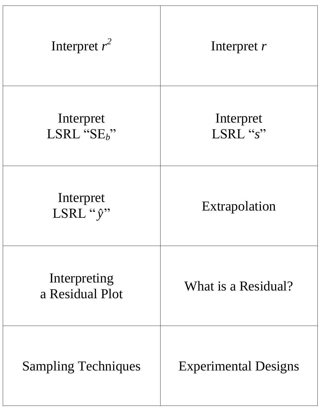| Interpret $r^2$                 | Interpret $r$               |
|---------------------------------|-----------------------------|
| Interpret<br>LSRL " $SE_b$ "    | Interpret<br>LSRL "s"       |
| Interpret<br>LSRL "y"           | Extrapolation               |
| Interpreting<br>a Residual Plot | What is a Residual?         |
| <b>Sampling Techniques</b>      | <b>Experimental Designs</b> |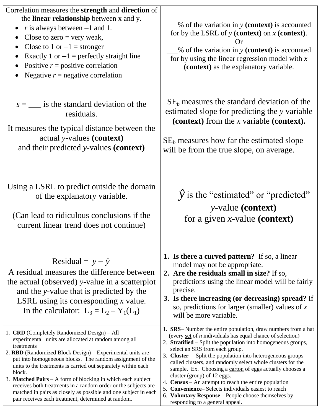| Correlation measures the <b>strength</b> and <b>direction</b> of<br>the <b>linear relationship</b> between x and y.<br>r is always between $-1$ and 1.<br>Close to zero $=$ very weak,<br>Close to 1 or $-1$ = stronger<br>Exactly 1 or $-1$ = perfectly straight line<br>Positive $r =$ positive correlation<br>Negative $r$ = negative correlation                                                                                                                                                                                                                              | $%$ of the variation in y (context) is accounted<br>for by the LSRL of $y$ (context) on $x$ (context).<br>( )r<br>$\frac{1}{2}$ of the variation in y (context) is accounted<br>for by using the linear regression model with $x$<br>(context) as the explanatory variable.                                                                                                                                                                                                                                                                                                                                                                                                         |
|-----------------------------------------------------------------------------------------------------------------------------------------------------------------------------------------------------------------------------------------------------------------------------------------------------------------------------------------------------------------------------------------------------------------------------------------------------------------------------------------------------------------------------------------------------------------------------------|-------------------------------------------------------------------------------------------------------------------------------------------------------------------------------------------------------------------------------------------------------------------------------------------------------------------------------------------------------------------------------------------------------------------------------------------------------------------------------------------------------------------------------------------------------------------------------------------------------------------------------------------------------------------------------------|
| $s =$ is the standard deviation of the<br>residuals.<br>It measures the typical distance between the<br>actual y-values (context)<br>and their predicted y-values (context)                                                                                                                                                                                                                                                                                                                                                                                                       | $SE_b$ measures the standard deviation of the<br>estimated slope for predicting the y variable<br>(context) from the $x$ variable (context).<br>$SE_b$ measures how far the estimated slope<br>will be from the true slope, on average.                                                                                                                                                                                                                                                                                                                                                                                                                                             |
| Using a LSRL to predict outside the domain<br>of the explanatory variable.<br>(Can lead to ridiculous conclusions if the<br>current linear trend does not continue)                                                                                                                                                                                                                                                                                                                                                                                                               | $\hat{y}$ is the "estimated" or "predicted"<br><i>y</i> -value (context)<br>for a given $x$ -value (context)                                                                                                                                                                                                                                                                                                                                                                                                                                                                                                                                                                        |
| Residual = $y - \hat{y}$<br>A residual measures the difference between<br>the actual (observed) y-value in a scatterplot<br>and the y-value that is predicted by the<br>LSRL using its corresponding $x$ value.<br>In the calculator: $L_3 = L_2 - Y_1(L_1)$                                                                                                                                                                                                                                                                                                                      | 1. Is there a curved pattern? If so, a linear<br>model may not be appropriate.<br>2. Are the residuals small in size? If so,<br>predictions using the linear model will be fairly<br>precise.<br>3. Is there increasing (or decreasing) spread? If<br>so, predictions for larger (smaller) values of $x$<br>will be more variable.                                                                                                                                                                                                                                                                                                                                                  |
| 1. CRD (Completely Randomized Design) – All<br>experimental units are allocated at random among all<br>treatments<br>2. RBD (Randomized Block Design) – Experimental units are<br>put into homogeneous blocks. The random assignment of the<br>units to the treatments is carried out separately within each<br>block.<br>3. Matched Pairs - A form of blocking in which each subject<br>receives both treatments in a random order or the subjects are<br>matched in pairs as closely as possible and one subject in each<br>pair receives each treatment, determined at random. | 1. SRS-Number the entire population, draw numbers from a hat<br>(every $set$ of <i>n</i> individuals has equal chance of selection)<br>2. Stratified – Split the population into homogeneous groups,<br>select an SRS from each group.<br>3. Cluster $-$ Split the population into heterogeneous groups<br>called clusters, and randomly select whole clusters for the<br>sample. Ex. Choosing a carton of eggs actually chooses a<br>cluster (group) of 12 eggs.<br>4. <b>Census</b> – An attempt to reach the entire population<br>5. Convenience– Selects individuals easiest to reach<br>6. Voluntary Response - People choose themselves by<br>responding to a general appeal. |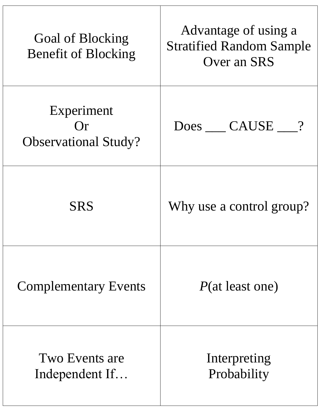| Goal of Blocking<br><b>Benefit of Blocking</b>   | Advantage of using a<br><b>Stratified Random Sample</b><br>Over an SRS |
|--------------------------------------------------|------------------------------------------------------------------------|
| Experiment<br>()r<br><b>Observational Study?</b> | Does CAUSE ?                                                           |
| <b>SRS</b>                                       | Why use a control group?                                               |
| <b>Complementary Events</b>                      | $P(\text{at least one})$                                               |
| Two Events are<br>Independent If                 | Interpreting<br>Probability                                            |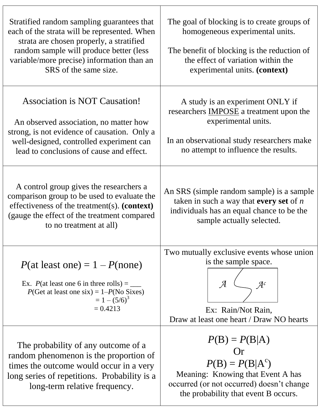| Stratified random sampling guarantees that<br>each of the strata will be represented. When<br>strata are chosen properly, a stratified<br>random sample will produce better (less<br>variable/more precise) information than an<br>SRS of the same size. | The goal of blocking is to create groups of<br>homogeneous experimental units.<br>The benefit of blocking is the reduction of<br>the effect of variation within the<br>experimental units. (context) |
|----------------------------------------------------------------------------------------------------------------------------------------------------------------------------------------------------------------------------------------------------------|------------------------------------------------------------------------------------------------------------------------------------------------------------------------------------------------------|
| <b>Association is NOT Causation!</b><br>An observed association, no matter how<br>strong, is not evidence of causation. Only a<br>well-designed, controlled experiment can<br>lead to conclusions of cause and effect.                                   | A study is an experiment ONLY if<br>researchers <b>IMPOSE</b> a treatment upon the<br>experimental units.<br>In an observational study researchers make<br>no attempt to influence the results.      |
| A control group gives the researchers a<br>comparison group to be used to evaluate the<br>effectiveness of the treatment(s). (context)<br>(gauge the effect of the treatment compared)<br>to no treatment at all)                                        | An SRS (simple random sample) is a sample<br>taken in such a way that every set of $n$<br>individuals has an equal chance to be the<br>sample actually selected.                                     |
| $P(\text{at least one}) = 1 - P(\text{none})$<br>Ex. $P(\text{at least one 6 in three rolls}) = \_$<br>$P$ (Get at least one six) = 1– $P$ (No Sixes)<br>$= 1 - (5/6)^3$<br>$= 0.4213$                                                                   | Two mutually exclusive events whose union<br>is the sample space.<br>Ex: Rain/Not Rain,<br>Draw at least one heart / Draw NO hearts                                                                  |
| The probability of any outcome of a<br>random phenomenon is the proportion of<br>times the outcome would occur in a very<br>long series of repetitions. Probability is a<br>long-term relative frequency.                                                | $P(B) = P(B A)$<br>Or<br>$P(B) = P(B A^c)$<br>Meaning: Knowing that Event A has<br>occurred (or not occurred) doesn't change<br>the probability that event B occurs.                                 |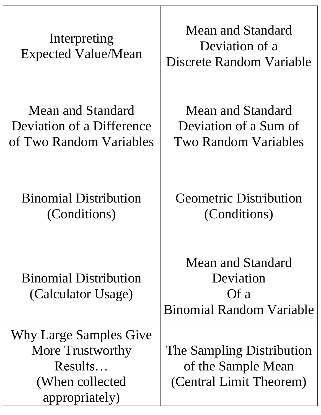| Interpreting<br><b>Expected Value/Mean</b>                                                  | <b>Mean and Standard</b><br>Deviation of a<br>Discrete Random Variable           |
|---------------------------------------------------------------------------------------------|----------------------------------------------------------------------------------|
| Mean and Standard<br>Deviation of a Difference<br>of Two Random Variables                   | Mean and Standard<br>Deviation of a Sum of<br><b>Two Random Variables</b>        |
| <b>Binomial Distribution</b><br>(Conditions)                                                | <b>Geometric Distribution</b><br>(Conditions)                                    |
| <b>Binomial Distribution</b><br>(Calculator Usage)                                          | <b>Mean and Standard</b><br>Deviation<br>Of a<br><b>Binomial Random Variable</b> |
| Why Large Samples Give<br>More Trustworthy<br>Results<br>(When collected)<br>appropriately) | The Sampling Distribution<br>of the Sample Mean<br>(Central Limit Theorem)       |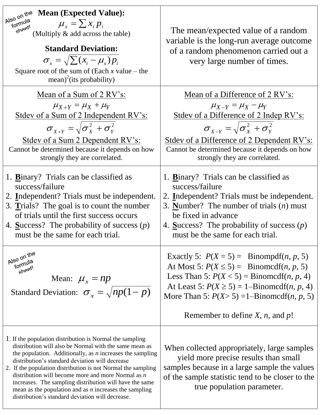| <b>Mean (Expected Value):</b><br>Also on the<br>formula<br>$\mu_{x} = \sum x_{i} p_{i}$<br>sheet!<br>(Multiply & add across the table)<br><b>Standard Deviation:</b><br>$\sigma_{\rm r} = \sqrt{\sum (x_i - \mu_{\rm r}) p_i}$<br>Square root of the sum of (Each $x$ value – the<br>mean) <sup>2</sup> (its probability)                                                                                                                                                                                                               | The mean/expected value of a random<br>variable is the long-run average outcome<br>of a random phenomenon carried out a<br>very large number of times.                                                                                                                                                                                                     |
|-----------------------------------------------------------------------------------------------------------------------------------------------------------------------------------------------------------------------------------------------------------------------------------------------------------------------------------------------------------------------------------------------------------------------------------------------------------------------------------------------------------------------------------------|------------------------------------------------------------------------------------------------------------------------------------------------------------------------------------------------------------------------------------------------------------------------------------------------------------------------------------------------------------|
| <u>Mean of a Sum of 2 RV's:</u><br>$\mu_{X+Y} = \mu_X + \mu_Y$<br>Stdev of a Sum of 2 Independent RV's:<br>$\sigma_{v+v} = \sqrt{\sigma_v^2 + \sigma_v^2}$<br>Stdev of a Sum 2 Dependent RV's:<br>Cannot be determined because it depends on how<br>strongly they are correlated.                                                                                                                                                                                                                                                       | Mean of a Difference of 2 RV's:<br>$\mu_{X-Y} = \mu_X - \mu_Y$<br>Stdev of a Difference of 2 Indep RV's:<br>$\sigma_{x-y} = \sqrt{\sigma_{y}^2 + \sigma_{y}^2}$<br><b>Stdev of a Difference of 2 Dependent RV's:</b><br>Cannot be determined because it depends on how<br>strongly they are correlated.                                                    |
| 1. <b>B</b> inary? Trials can be classified as<br>success/failure<br>2. Independent? Trials must be independent.<br>3. Trials? The goal is to count the number<br>of trials until the first success occurs<br>4. Success? The probability of success $(p)$<br>must be the same for each trial.                                                                                                                                                                                                                                          | 1. Binary? Trials can be classified as<br>success/failure<br>2. Independent? Trials must be independent.<br>3. Number? The number of trials $(n)$ must<br>be fixed in advance<br>4. Success? The probability of success $(p)$<br>must be the same for each trial.                                                                                          |
| Also on the<br>formula<br>sheet!<br>Mean: $\mu_{r} = np$<br>Standard Deviation: $\sigma_x = \sqrt{np(1-p)}$                                                                                                                                                                                                                                                                                                                                                                                                                             | Exactly 5: $P(X = 5) =$ Binompdf( <i>n</i> , <i>p</i> , 5)<br>At Most 5: $P(X \le 5) =$ Binomedf( <i>n</i> , <i>p</i> , 5)<br>Less Than 5: $P(X < 5)$ = Binomedf( <i>n</i> , <i>p</i> , 4)<br>At Least 5: $P(X \ge 5) = 1$ -Binomedf( <i>n</i> , <i>p</i> , 4)<br>More Than 5: $P(X>5) = 1 - Binomcdf(n, p, 5)$<br>Remember to define $X$ , $n$ , and $p!$ |
| 1. If the population distribution is Normal the sampling<br>distribution will also be Normal with the same mean as<br>the population. Additionally, as $n$ increases the sampling<br>distribution's standard deviation will decrease<br>2. If the population distribution is not Normal the sampling<br>distribution will become more and more Normal as $n$<br>increases. The sampling distribution will have the same<br>mean as the population and as $n$ increases the sampling<br>distribution's standard deviation will decrease. | When collected appropriately, large samples<br>yield more precise results than small<br>samples because in a large sample the values<br>of the sample statistic tend to be closer to the<br>true population parameter.                                                                                                                                     |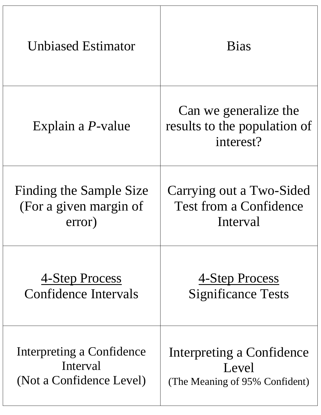| <b>Unbiased Estimator</b> | <b>Bias</b>                                                        |
|---------------------------|--------------------------------------------------------------------|
| Explain a <i>P</i> -value | Can we generalize the<br>results to the population of<br>interest? |
| Finding the Sample Size   | Carrying out a Two-Sided                                           |
| (For a given margin of    | <b>Test from a Confidence</b>                                      |
| error)                    | Interval                                                           |
| <u>4-Step Process</u>     | <u>4-Step Process</u>                                              |
| Confidence Intervals      | <b>Significance Tests</b>                                          |
| Interpreting a Confidence | Interpreting a Confidence                                          |
| Interval                  | Level                                                              |
| (Not a Confidence Level)  | (The Meaning of 95% Confident)                                     |

Τ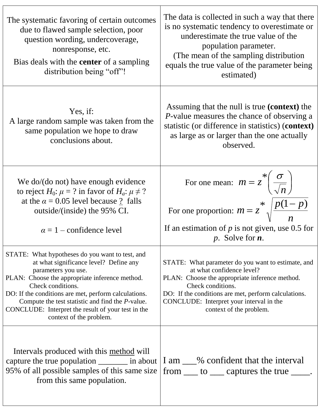| The systematic favoring of certain outcomes<br>due to flawed sample selection, poor<br>question wording, undercoverage,<br>nonresponse, etc.<br>Bias deals with the <b>center</b> of a sampling<br>distribution being "off"!                                                                                                                                                                 | The data is collected in such a way that there<br>is no systematic tendency to overestimate or<br>underestimate the true value of the<br>population parameter.<br>(The mean of the sampling distribution)<br>equals the true value of the parameter being<br>estimated)               |
|----------------------------------------------------------------------------------------------------------------------------------------------------------------------------------------------------------------------------------------------------------------------------------------------------------------------------------------------------------------------------------------------|---------------------------------------------------------------------------------------------------------------------------------------------------------------------------------------------------------------------------------------------------------------------------------------|
| Yes, if:<br>A large random sample was taken from the<br>same population we hope to draw<br>conclusions about.                                                                                                                                                                                                                                                                                | Assuming that the null is true (context) the<br><i>P</i> -value measures the chance of observing a<br>statistic (or difference in statistics) (context)<br>as large as or larger than the one actually<br>observed.                                                                   |
| We do/ $(do$ not) have enough evidence<br>to reject $H_0$ : $\mu = ?$ in favor of $H_a$ : $\mu \neq ?$<br>at the $\alpha$ = 0.05 level because ? falls<br>outside/(inside) the 95% CI.<br>$\alpha = 1$ – confidence level                                                                                                                                                                    | For one mean: $m = z^* \left( \frac{\sigma}{\sqrt{n}} \right)$<br>For one proportion: $m = z^* \sqrt{\frac{p(1-p)}{n}}$<br>If an estimation of $p$ is not given, use 0.5 for<br><i>p</i> . Solve for $n$ .                                                                            |
| STATE: What hypotheses do you want to test, and<br>at what significance level? Define any<br>parameters you use.<br>PLAN: Choose the appropriate inference method.<br>Check conditions.<br>DO: If the conditions are met, perform calculations.<br>Compute the test statistic and find the <i>P</i> -value.<br>CONCLUDE: Interpret the result of your test in the<br>context of the problem. | STATE: What parameter do you want to estimate, and<br>at what confidence level?<br>PLAN: Choose the appropriate inference method.<br>Check conditions.<br>DO: If the conditions are met, perform calculations.<br>CONCLUDE: Interpret your interval in the<br>context of the problem. |
| Intervals produced with this method will<br>capture the true population __________ in about<br>95% of all possible samples of this same size<br>from this same population.                                                                                                                                                                                                                   | I am ___% confident that the interval<br>from ____ to ____ captures the true _____.                                                                                                                                                                                                   |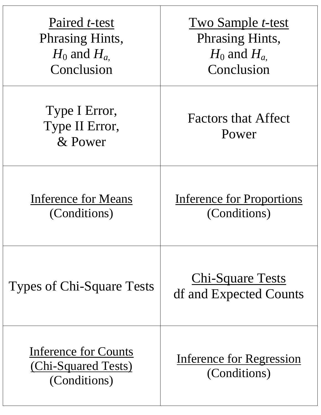| Paired <i>t</i> -test<br><b>Phrasing Hints,</b><br>$H_0$ and $H_a$<br>Conclusion | <b>Two Sample t-test</b><br><b>Phrasing Hints,</b><br>$H_0$ and $H_a$<br>Conclusion |
|----------------------------------------------------------------------------------|-------------------------------------------------------------------------------------|
| Type I Error,<br>Type II Error,<br>& Power                                       | <b>Factors that Affect</b><br>Power                                                 |
| <b>Inference for Means</b><br>(Conditions)                                       | <b>Inference for Proportions</b><br>(Conditions)                                    |
| Types of Chi-Square Tests                                                        | <u>Chi-Square Tests</u><br>df and Expected Counts                                   |
| <b>Inference for Counts</b><br><u>(Chi-Squared Tests)</u><br>(Conditions)        | Inference for Regression<br>(Conditions)                                            |